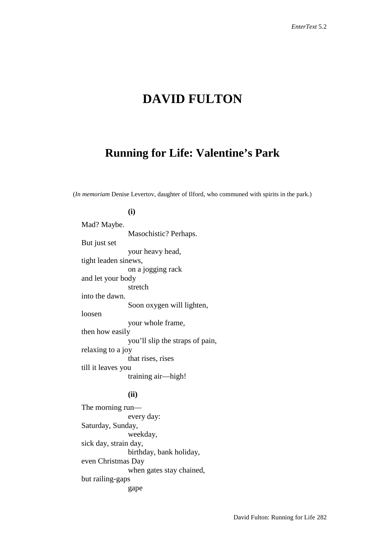# **DAVID FULTON**

## **Running for Life: Valentine's Park**

(*In memoriam* Denise Levertov, daughter of Ilford, who communed with spirits in the park.)

#### **(i)**

Mad? Maybe. Masochistic? Perhaps. But just set your heavy head, tight leaden sinews, on a jogging rack and let your body stretch into the dawn. Soon oxygen will lighten, loosen your whole frame, then how easily you'll slip the straps of pain, relaxing to a joy that rises, rises till it leaves you training air—high!

### **(ii)**

The morning run every day: Saturday, Sunday, weekday, sick day, strain day, birthday, bank holiday, even Christmas Day when gates stay chained, but railing-gaps gape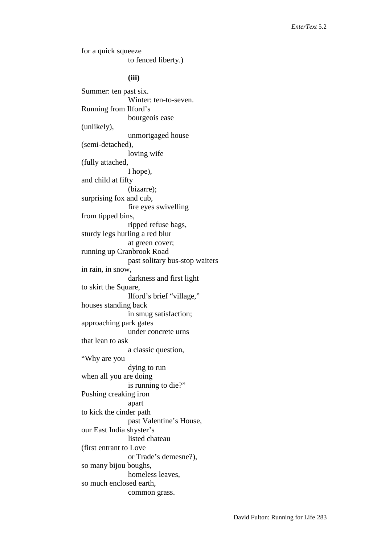for a quick squeeze to fenced liberty.) **(iii)** Summer: ten past six. Winter: ten-to-seven. Running from Ilford's bourgeois ease (unlikely), unmortgaged house (semi-detached), loving wife (fully attached, I hope), and child at fifty (bizarre); surprising fox and cub, fire eyes swivelling from tipped bins, ripped refuse bags, sturdy legs hurling a red blur at green cover; running up Cranbrook Road past solitary bus-stop waiters in rain, in snow, darkness and first light to skirt the Square, Ilford's brief "village," houses standing back in smug satisfaction; approaching park gates under concrete urns that lean to ask a classic question, "Why are you dying to run when all you are doing is running to die?" Pushing creaking iron apart to kick the cinder path past Valentine's House, our East India shyster's listed chateau (first entrant to Love or Trade's demesne?), so many bijou boughs, homeless leaves, so much enclosed earth, common grass.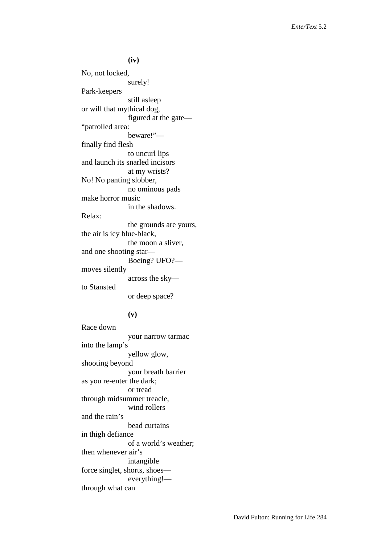**(iv)** No, not locked, surely! Park-keepers still asleep or will that mythical dog, figured at the gate— "patrolled area: beware!" finally find flesh to uncurl lips and launch its snarled incisors at my wrists? No! No panting slobber, no ominous pads make horror music in the shadows. Relax: the grounds are yours, the air is icy blue-black, the moon a sliver, and one shooting star— Boeing? UFO? moves silently across the sky to Stansted or deep space?

#### **(v)**

Race down your narrow tarmac into the lamp's yellow glow, shooting beyond your breath barrier as you re-enter the dark; or tread through midsummer treacle, wind rollers and the rain's bead curtains in thigh defiance of a world's weather; then whenever air's intangible force singlet, shorts, shoes everything! through what can